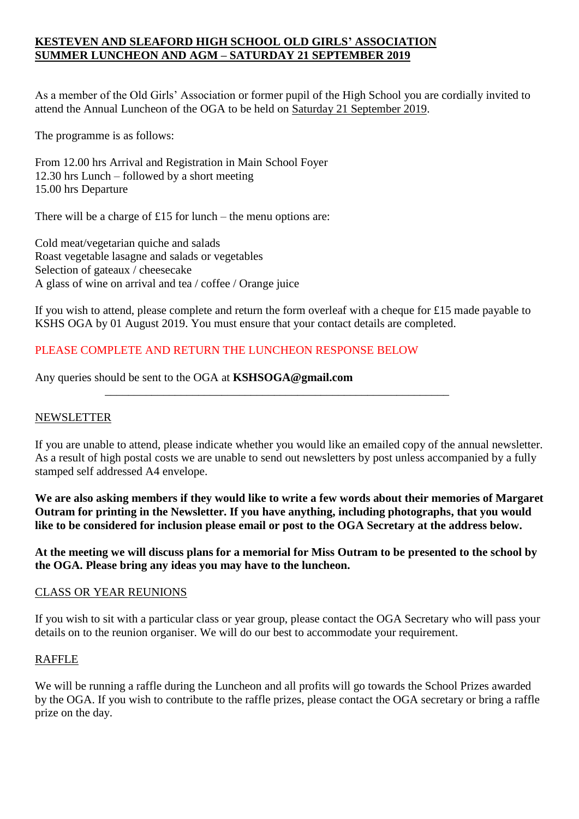# **KESTEVEN AND SLEAFORD HIGH SCHOOL OLD GIRLS' ASSOCIATION SUMMER LUNCHEON AND AGM – SATURDAY 21 SEPTEMBER 2019**

As a member of the Old Girls' Association or former pupil of the High School you are cordially invited to attend the Annual Luncheon of the OGA to be held on Saturday 21 September 2019.

The programme is as follows:

From 12.00 hrs Arrival and Registration in Main School Foyer 12.30 hrs Lunch – followed by a short meeting 15.00 hrs Departure

There will be a charge of £15 for lunch – the menu options are:

Cold meat/vegetarian quiche and salads Roast vegetable lasagne and salads or vegetables Selection of gateaux / cheesecake A glass of wine on arrival and tea / coffee / Orange juice

If you wish to attend, please complete and return the form overleaf with a cheque for £15 made payable to KSHS OGA by 01 August 2019. You must ensure that your contact details are completed.

\_\_\_\_\_\_\_\_\_\_\_\_\_\_\_\_\_\_\_\_\_\_\_\_\_\_\_\_\_\_\_\_\_\_\_\_\_\_\_\_\_\_\_\_\_\_\_\_\_\_\_\_\_\_\_\_\_\_\_

# PLEASE COMPLETE AND RETURN THE LUNCHEON RESPONSE BELOW

Any queries should be sent to the OGA at **KSHSOGA@gmail.com**

## NEWSLETTER

If you are unable to attend, please indicate whether you would like an emailed copy of the annual newsletter. As a result of high postal costs we are unable to send out newsletters by post unless accompanied by a fully stamped self addressed A4 envelope.

**We are also asking members if they would like to write a few words about their memories of Margaret Outram for printing in the Newsletter. If you have anything, including photographs, that you would like to be considered for inclusion please email or post to the OGA Secretary at the address below.** 

**At the meeting we will discuss plans for a memorial for Miss Outram to be presented to the school by the OGA. Please bring any ideas you may have to the luncheon.**

#### CLASS OR YEAR REUNIONS

If you wish to sit with a particular class or year group, please contact the OGA Secretary who will pass your details on to the reunion organiser. We will do our best to accommodate your requirement.

## RAFFLE

We will be running a raffle during the Luncheon and all profits will go towards the School Prizes awarded by the OGA. If you wish to contribute to the raffle prizes, please contact the OGA secretary or bring a raffle prize on the day.